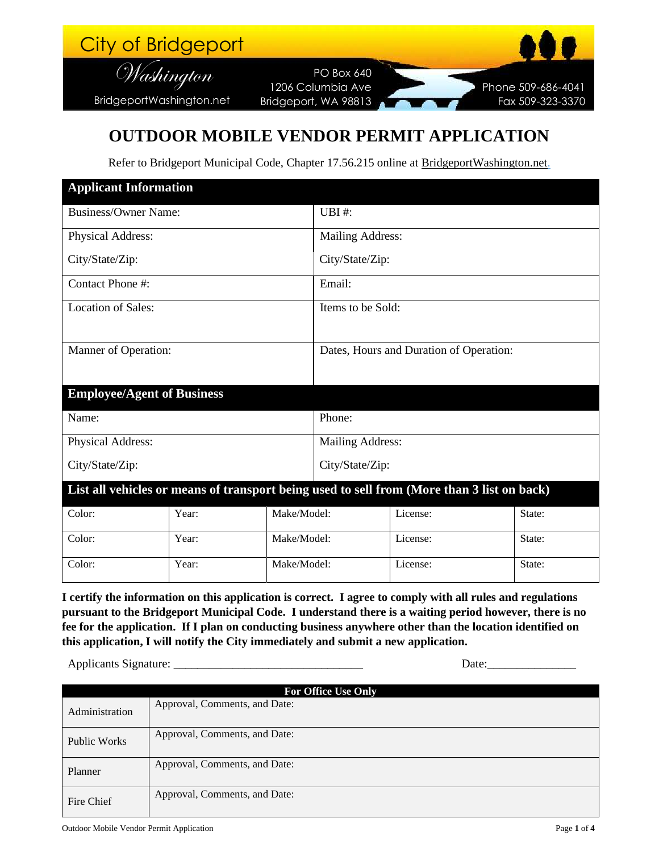| City of Bridgeport       |                      | <b>ABS</b>         |
|--------------------------|----------------------|--------------------|
| Washington               | <b>PO Box 640</b>    |                    |
|                          | 1206 Columbia Ave    | Phone 509-686-4041 |
| BridgeportWashington.net | Bridgeport, WA 98813 | Fax 509-323-3370   |

#### **OUTDOOR MOBILE VENDOR PERMIT APPLICATION**

Refer to Bridgeport Municipal Code, Chapter 17.56.215 online at BridgeportWashington.net.

| <b>Applicant Information</b>                                                               |       |                                         |                  |          |        |  |
|--------------------------------------------------------------------------------------------|-------|-----------------------------------------|------------------|----------|--------|--|
| <b>Business/Owner Name:</b>                                                                |       | UBI#:                                   |                  |          |        |  |
| Physical Address:                                                                          |       | <b>Mailing Address:</b>                 |                  |          |        |  |
| City/State/Zip:                                                                            |       | City/State/Zip:                         |                  |          |        |  |
| Contact Phone #:                                                                           |       | Email:                                  |                  |          |        |  |
| <b>Location of Sales:</b>                                                                  |       | Items to be Sold:                       |                  |          |        |  |
| Manner of Operation:                                                                       |       | Dates, Hours and Duration of Operation: |                  |          |        |  |
| <b>Employee/Agent of Business</b>                                                          |       |                                         |                  |          |        |  |
| Name:                                                                                      |       |                                         | Phone:           |          |        |  |
| Physical Address:                                                                          |       |                                         | Mailing Address: |          |        |  |
| City/State/Zip:                                                                            |       | City/State/Zip:                         |                  |          |        |  |
| List all vehicles or means of transport being used to sell from (More than 3 list on back) |       |                                         |                  |          |        |  |
| Color:                                                                                     | Year: | Make/Model:                             |                  | License: | State: |  |
| Color:                                                                                     | Year: | Make/Model:                             |                  | License: | State: |  |
| Color:                                                                                     | Year: | Make/Model:                             |                  | License: | State: |  |

**I certify the information on this application is correct. I agree to comply with all rules and regulations pursuant to the Bridgeport Municipal Code. I understand there is a waiting period however, there is no fee for the application. If I plan on conducting business anywhere other than the location identified on this application, I will notify the City immediately and submit a new application.**

Applicants Signature: \_\_\_\_\_\_\_\_\_\_\_\_\_\_\_\_\_\_\_\_\_\_\_\_\_\_\_\_\_\_\_\_ Date:\_\_\_\_\_\_\_\_\_\_\_\_\_\_\_

| <b>For Office Use Only</b> |                               |  |  |  |
|----------------------------|-------------------------------|--|--|--|
| Administration             | Approval, Comments, and Date: |  |  |  |
| <b>Public Works</b>        | Approval, Comments, and Date: |  |  |  |
| Planner                    | Approval, Comments, and Date: |  |  |  |
| Fire Chief                 | Approval, Comments, and Date: |  |  |  |

Outdoor Mobile Vendor Permit Application Page **1** of **4**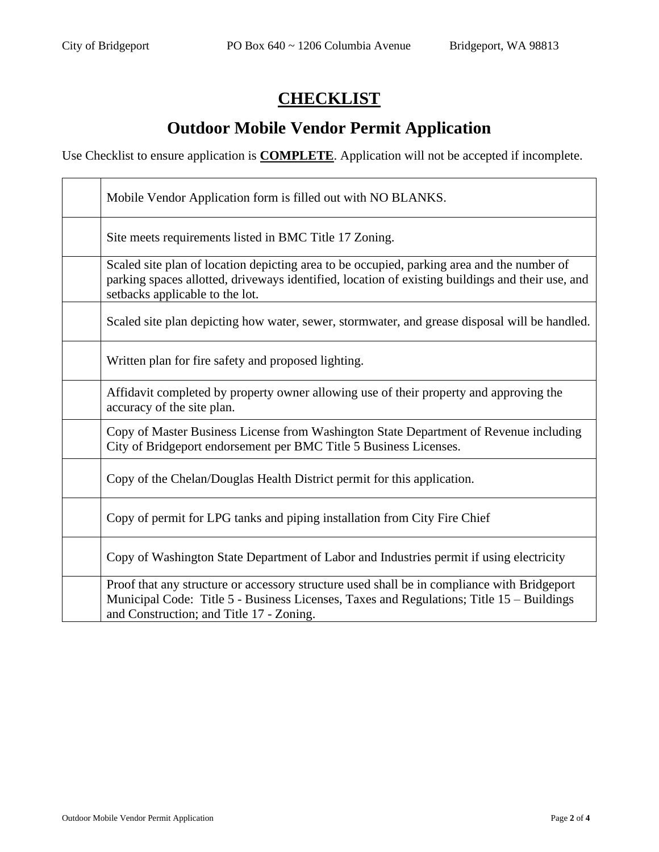### **CHECKLIST**

# **Outdoor Mobile Vendor Permit Application**

Use Checklist to ensure application is **COMPLETE**. Application will not be accepted if incomplete.

| Mobile Vendor Application form is filled out with NO BLANKS.                                                                                                                                                                        |
|-------------------------------------------------------------------------------------------------------------------------------------------------------------------------------------------------------------------------------------|
| Site meets requirements listed in BMC Title 17 Zoning.                                                                                                                                                                              |
| Scaled site plan of location depicting area to be occupied, parking area and the number of<br>parking spaces allotted, driveways identified, location of existing buildings and their use, and<br>setbacks applicable to the lot.   |
| Scaled site plan depicting how water, sewer, stormwater, and grease disposal will be handled.                                                                                                                                       |
| Written plan for fire safety and proposed lighting.                                                                                                                                                                                 |
| Affidavit completed by property owner allowing use of their property and approving the<br>accuracy of the site plan.                                                                                                                |
| Copy of Master Business License from Washington State Department of Revenue including<br>City of Bridgeport endorsement per BMC Title 5 Business Licenses.                                                                          |
| Copy of the Chelan/Douglas Health District permit for this application.                                                                                                                                                             |
| Copy of permit for LPG tanks and piping installation from City Fire Chief                                                                                                                                                           |
| Copy of Washington State Department of Labor and Industries permit if using electricity                                                                                                                                             |
| Proof that any structure or accessory structure used shall be in compliance with Bridgeport<br>Municipal Code: Title 5 - Business Licenses, Taxes and Regulations; Title 15 - Buildings<br>and Construction; and Title 17 - Zoning. |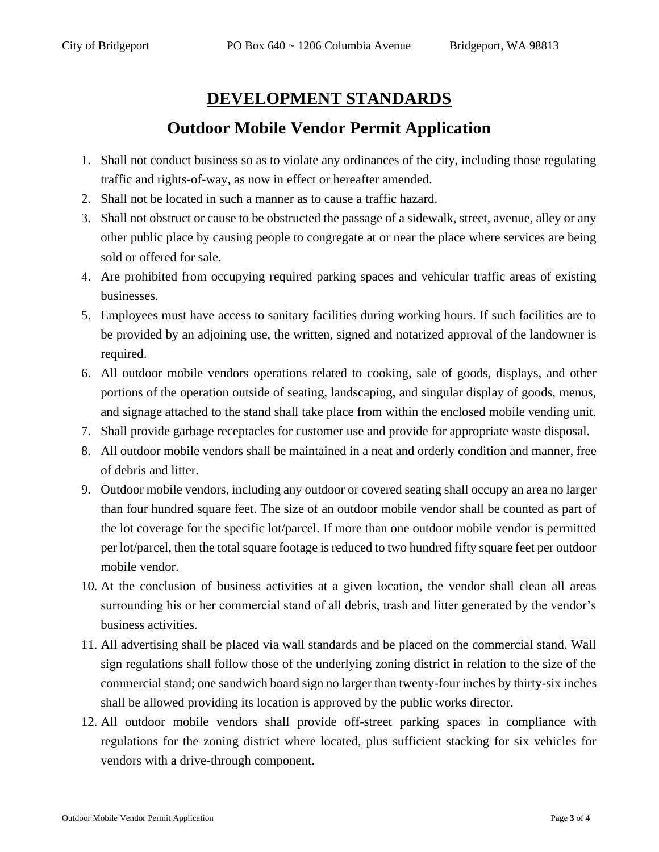#### **DEVELOPMENT STANDARDS**

### **Outdoor Mobile Vendor Permit Application**

- 1. Shall not conduct business so as to violate any ordinances of the city, including those regulating traffic and rights-of-way, as now in effect or hereafter amended.
- 2. Shall not be located in such a manner as to cause a traffic hazard.
- 3. Shall not obstruct or cause to be obstructed the passage of a sidewalk, street, avenue, alley or any other public place by causing people to congregate at or near the place where services are being sold or offered for sale.
- 4. Are prohibited from occupying required parking spaces and vehicular traffic areas of existing businesses.
- 5. Employees must have access to sanitary facilities during working hours. If such facilities are to be provided by an adjoining use, the written, signed and notarized approval of the landowner is required.
- 6. All outdoor mobile vendors operations related to cooking, sale of goods, displays, and other portions of the operation outside of seating, landscaping, and singular display of goods, menus, and signage attached to the stand shall take place from within the enclosed mobile vending unit.
- 7. Shall provide garbage receptacles for customer use and provide for appropriate waste disposal.
- 8. All outdoor mobile vendors shall be maintained in a neat and orderly condition and manner, free of debris and litter.
- 9. Outdoor mobile vendors, including any outdoor or covered seating shall occupy an area no larger than four hundred square feet. The size of an outdoor mobile vendor shall be counted as part of the lot coverage for the specific lot/parcel. If more than one outdoor mobile vendor is permitted per lot/parcel, then the total square footage is reduced to two hundred fifty square feet per outdoor mobile vendor.
- 10. At the conclusion of business activities at a given location, the vendor shall clean all areas surrounding his or her commercial stand of all debris, trash and litter generated by the vendor's business activities.
- 11. All advertising shall be placed via wall standards and be placed on the commercial stand. Wall sign regulations shall follow those of the underlying zoning district in relation to the size of the commercial stand; one sandwich board sign no larger than twenty-four inches by thirty-six inches shall be allowed providing its location is approved by the public works director.
- 12. All outdoor mobile vendors shall provide off-street parking spaces in compliance with regulations for the zoning district where located, plus sufficient stacking for six vehicles for vendors with a drive-through component.